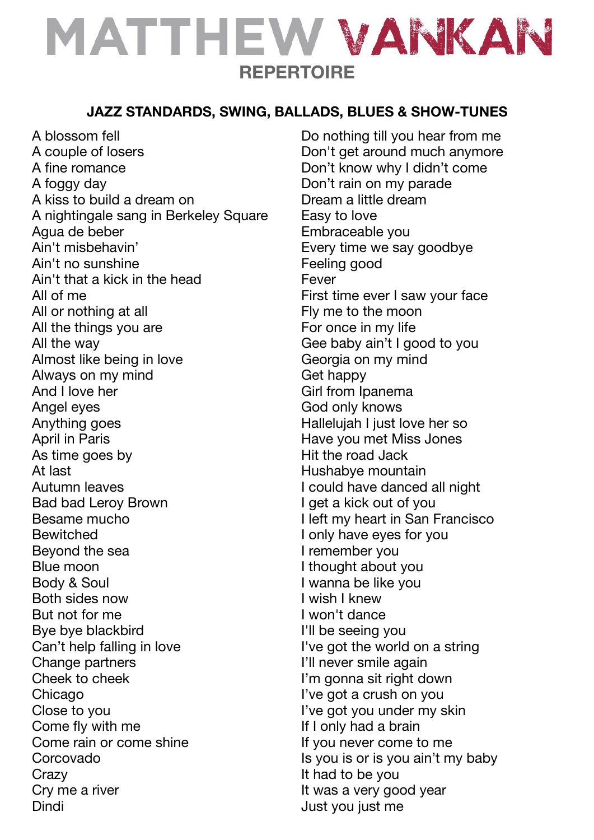# MATTHEW VANKAN **REPERTOIRE**

#### **JAZZ STANDARDS, SWING, BALLADS, BLUES & SHOW-TUNES**

A blossom fell A couple of losers A fine romance A foggy day A kiss to build a dream on A nightingale sang in Berkeley Square Agua de beber Ain't misbehavin' Ain't no sunshine Ain't that a kick in the head All of me All or nothing at all All the things you are All the way Almost like being in love Always on my mind And I love her Angel eyes Anything goes April in Paris As time goes by At last Autumn leaves Bad bad Leroy Brown Besame mucho **Bewitched** Beyond the sea Blue moon Body & Soul Both sides now But not for me Bye bye blackbird Can't help falling in love Change partners Cheek to cheek Chicago Close to you Come fly with me Come rain or come shine Corcovado **Crazy** Cry me a river **Dindi** 

Do nothing till you hear from me Don't get around much anymore Don't know why I didn't come Don't rain on my parade Dream a little dream Easy to love Embraceable you Every time we say goodbye Feeling good Fever First time ever I saw your face Fly me to the moon For once in my life Gee baby ain't I good to you Georgia on my mind Get happy Girl from Ipanema God only knows Hallelujah I just love her so Have you met Miss Jones Hit the road Jack Hushabye mountain I could have danced all night I get a kick out of you I left my heart in San Francisco I only have eyes for you I remember you I thought about you I wanna be like you I wish I knew I won't dance I'll be seeing you I've got the world on a string I'll never smile again I'm gonna sit right down I've got a crush on you I've got you under my skin If I only had a brain If you never come to me Is you is or is you ain't my baby It had to be you It was a very good year Just you just me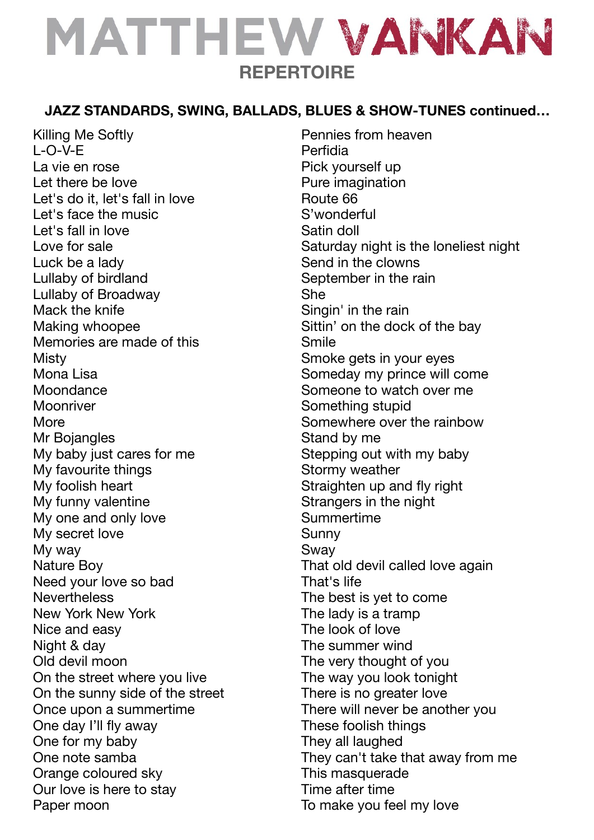# MATTHEW VANKAN **REPERTOIRE**

### **JAZZ STANDARDS, SWING, BALLADS, BLUES & SHOW-TUNES continued…**

Killing Me Softly L-O-V-E La vie en rose Let there be love Let's do it, let's fall in love Let's face the music Let's fall in love Love for sale Luck be a lady Lullaby of birdland Lullaby of Broadway Mack the knife Making whoopee Memories are made of this **Misty** Mona Lisa **Moondance** Moonriver More Mr Bojangles My baby just cares for me My favourite things My foolish heart My funny valentine My one and only love My secret love My way Nature Boy Need your love so bad **Nevertheless** New York New York Nice and easy Night & day Old devil moon On the street where you live On the sunny side of the street Once upon a summertime One day I'll fly away One for my baby One note samba Orange coloured sky Our love is here to stay Paper moon

Pennies from heaven Perfidia Pick yourself up Pure imagination Route 66 S'wonderful Satin doll Saturday night is the loneliest night Send in the clowns September in the rain She Singin' in the rain Sittin' on the dock of the bay Smile Smoke gets in your eyes Someday my prince will come Someone to watch over me Something stupid Somewhere over the rainbow Stand by me Stepping out with my baby Stormy weather Straighten up and fly right Strangers in the night Summertime Sunny Sway That old devil called love again That's life The best is yet to come The lady is a tramp The look of love The summer wind The very thought of you The way you look tonight There is no greater love There will never be another you These foolish things They all laughed They can't take that away from me This masquerade Time after time To make you feel my love